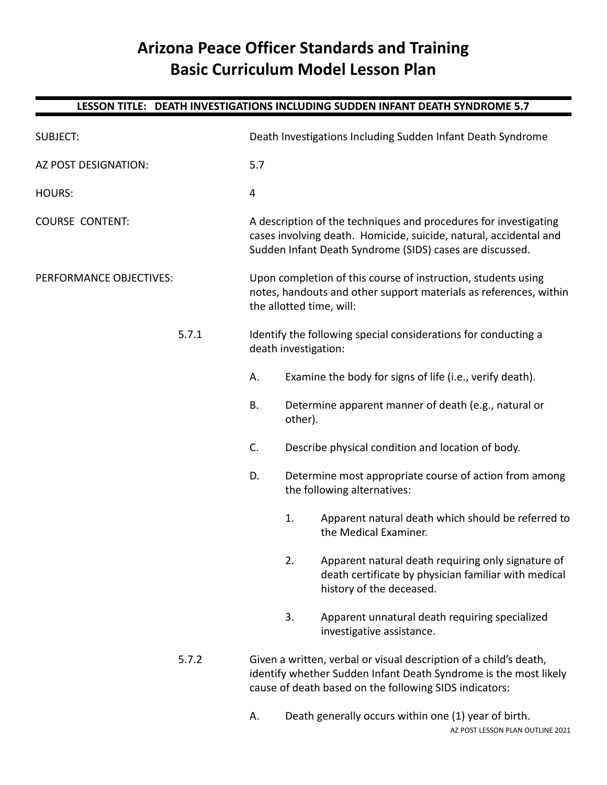# **Arizona Peace Officer Standards and Training Basic Curriculum Model Lesson Plan**

## **LESSON TITLE: DEATH INVESTIGATIONS INCLUDING SUDDEN INFANT DEATH SYNDROME 5.7**

| <b>SUBJECT:</b>         |       |                                                                                                                                                                                                   | Death Investigations Including Sudden Infant Death Syndrome                                                                                                                                                   |                                                                                                                                        |  |  |
|-------------------------|-------|---------------------------------------------------------------------------------------------------------------------------------------------------------------------------------------------------|---------------------------------------------------------------------------------------------------------------------------------------------------------------------------------------------------------------|----------------------------------------------------------------------------------------------------------------------------------------|--|--|
| AZ POST DESIGNATION:    |       | 5.7                                                                                                                                                                                               |                                                                                                                                                                                                               |                                                                                                                                        |  |  |
| <b>HOURS:</b>           |       | 4                                                                                                                                                                                                 |                                                                                                                                                                                                               |                                                                                                                                        |  |  |
| <b>COURSE CONTENT:</b>  |       | A description of the techniques and procedures for investigating<br>cases involving death. Homicide, suicide, natural, accidental and<br>Sudden Infant Death Syndrome (SIDS) cases are discussed. |                                                                                                                                                                                                               |                                                                                                                                        |  |  |
| PERFORMANCE OBJECTIVES: |       | Upon completion of this course of instruction, students using<br>notes, handouts and other support materials as references, within<br>the allotted time, will:                                    |                                                                                                                                                                                                               |                                                                                                                                        |  |  |
|                         | 5.7.1 |                                                                                                                                                                                                   | Identify the following special considerations for conducting a<br>death investigation:                                                                                                                        |                                                                                                                                        |  |  |
|                         |       | А.                                                                                                                                                                                                |                                                                                                                                                                                                               | Examine the body for signs of life (i.e., verify death).                                                                               |  |  |
|                         |       | <b>B.</b>                                                                                                                                                                                         | Determine apparent manner of death (e.g., natural or<br>other).<br>Describe physical condition and location of body.<br>Determine most appropriate course of action from among<br>the following alternatives: |                                                                                                                                        |  |  |
|                         |       | C.                                                                                                                                                                                                |                                                                                                                                                                                                               |                                                                                                                                        |  |  |
|                         |       | D.                                                                                                                                                                                                |                                                                                                                                                                                                               |                                                                                                                                        |  |  |
|                         |       |                                                                                                                                                                                                   | 1.                                                                                                                                                                                                            | Apparent natural death which should be referred to<br>the Medical Examiner.                                                            |  |  |
|                         |       |                                                                                                                                                                                                   | 2.                                                                                                                                                                                                            | Apparent natural death requiring only signature of<br>death certificate by physician familiar with medical<br>history of the deceased. |  |  |
|                         |       |                                                                                                                                                                                                   | 3.                                                                                                                                                                                                            | Apparent unnatural death requiring specialized<br>investigative assistance.                                                            |  |  |
|                         | 5.7.2 | Given a written, verbal or visual description of a child's death,<br>identify whether Sudden Infant Death Syndrome is the most likely<br>cause of death based on the following SIDS indicators:   |                                                                                                                                                                                                               |                                                                                                                                        |  |  |
|                         |       |                                                                                                                                                                                                   |                                                                                                                                                                                                               |                                                                                                                                        |  |  |

A. Death generally occurs within one (1) year of birth. AZ POST LESSON PLAN OUTLINE 2021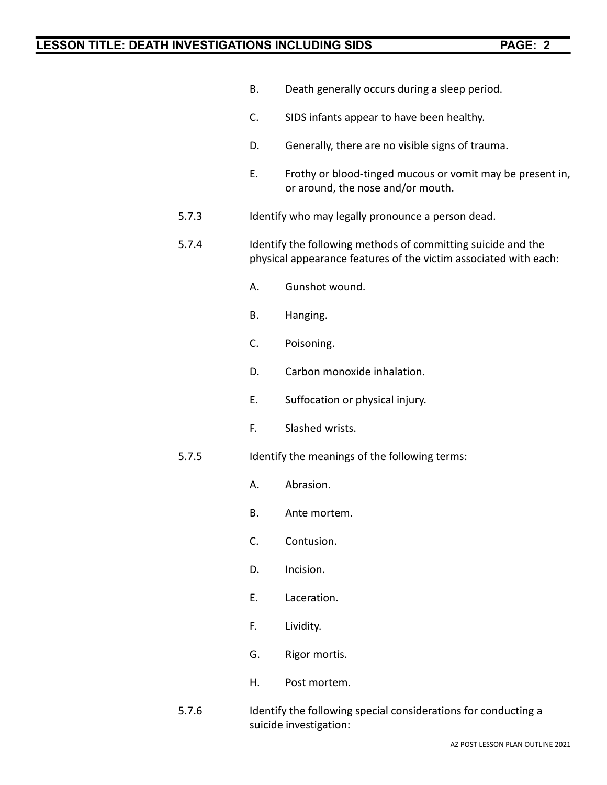- B. Death generally occurs during a sleep period.
- C. SIDS infants appear to have been healthy.
- D. Generally, there are no visible signs of trauma.
- E. Frothy or blood-tinged mucous or vomit may be present in, or around, the nose and/or mouth.
- 5.7.3 Identify who may legally pronounce a person dead.
- 5.7.4 Identify the following methods of committing suicide and the physical appearance features of the victim associated with each:
	- A. Gunshot wound.
	- B. Hanging.
	- C. Poisoning.
	- D. Carbon monoxide inhalation.
	- E. Suffocation or physical injury.
	- F. Slashed wrists.
- 5.7.5 Identify the meanings of the following terms:
	- A. Abrasion.
	- B. Ante mortem.
	- C. Contusion.
	- D. Incision.
	- E. Laceration.
	- F. Lividity.
	- G. Rigor mortis.
	- H. Post mortem.
- 5.7.6 Identify the following special considerations for conducting a suicide investigation: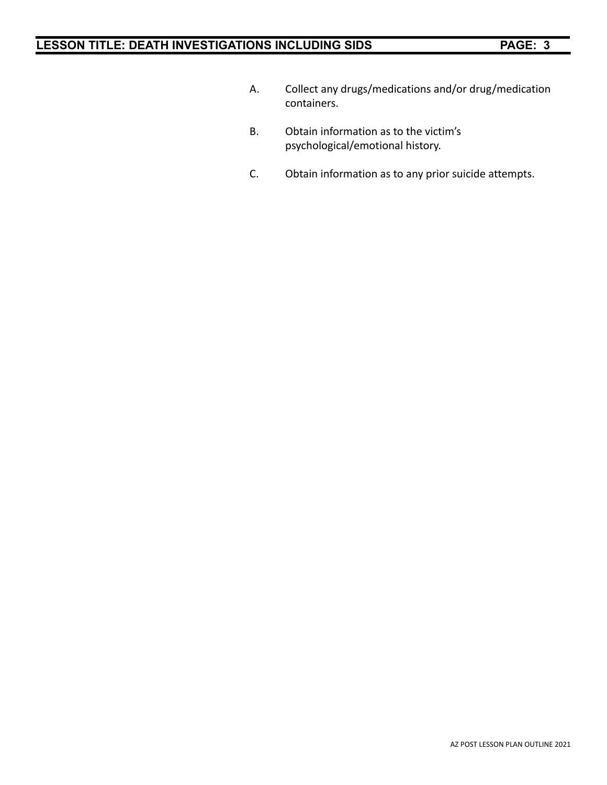- A. Collect any drugs/medications and/or drug/medication containers.
- B. Obtain information as to the victim's psychological/emotional history.
- C. Obtain information as to any prior suicide attempts.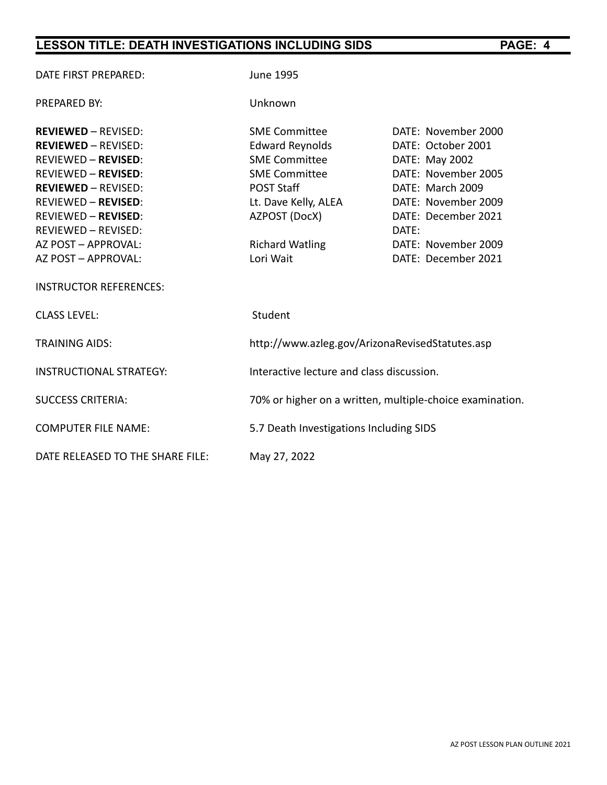| DATE FIRST PREPARED:             | <b>June 1995</b>                                         |                     |
|----------------------------------|----------------------------------------------------------|---------------------|
| <b>PREPARED BY:</b>              | Unknown                                                  |                     |
| <b>REVIEWED - REVISED:</b>       | <b>SME Committee</b>                                     | DATE: November 2000 |
| <b>REVIEWED - REVISED:</b>       | <b>Edward Reynolds</b>                                   | DATE: October 2001  |
| <b>REVIEWED - REVISED:</b>       | <b>SME Committee</b>                                     | DATE: May 2002      |
| <b>REVIEWED - REVISED:</b>       | <b>SME Committee</b>                                     | DATE: November 2005 |
| <b>REVIEWED - REVISED:</b>       | <b>POST Staff</b>                                        | DATE: March 2009    |
| <b>REVIEWED - REVISED:</b>       | Lt. Dave Kelly, ALEA                                     | DATE: November 2009 |
| <b>REVIEWED - REVISED:</b>       | AZPOST (DocX)                                            | DATE: December 2021 |
| <b>REVIEWED - REVISED:</b>       |                                                          | DATE:               |
| AZ POST - APPROVAL:              | <b>Richard Watling</b>                                   | DATE: November 2009 |
| AZ POST - APPROVAL:              | Lori Wait                                                | DATE: December 2021 |
| <b>INSTRUCTOR REFERENCES:</b>    |                                                          |                     |
| <b>CLASS LEVEL:</b>              | Student                                                  |                     |
| <b>TRAINING AIDS:</b>            | http://www.azleg.gov/ArizonaRevisedStatutes.asp          |                     |
| <b>INSTRUCTIONAL STRATEGY:</b>   | Interactive lecture and class discussion.                |                     |
| <b>SUCCESS CRITERIA:</b>         | 70% or higher on a written, multiple-choice examination. |                     |
| <b>COMPUTER FILE NAME:</b>       | 5.7 Death Investigations Including SIDS                  |                     |
| DATE RELEASED TO THE SHARE FILE: | May 27, 2022                                             |                     |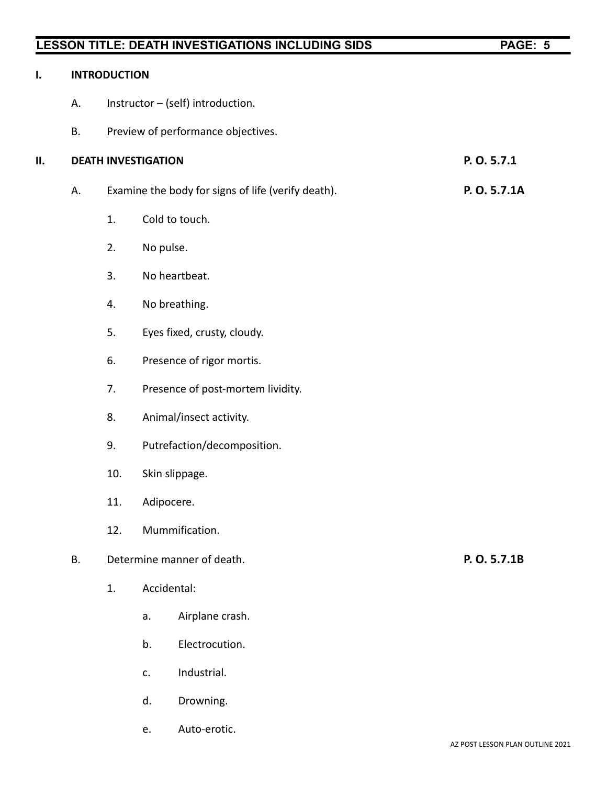| ı. |           | <b>INTRODUCTION</b>                                |                                    |              |  |
|----|-----------|----------------------------------------------------|------------------------------------|--------------|--|
|    | А.        |                                                    | Instructor - (self) introduction.  |              |  |
|    | <b>B.</b> |                                                    | Preview of performance objectives. |              |  |
| П. |           |                                                    | <b>DEATH INVESTIGATION</b>         | P.O.5.7.1    |  |
|    | А.        | Examine the body for signs of life (verify death). |                                    | P. O. 5.7.1A |  |
|    |           | 1.                                                 | Cold to touch.                     |              |  |
|    |           | 2.                                                 | No pulse.                          |              |  |
|    |           | 3.                                                 | No heartbeat.                      |              |  |
|    |           | 4.                                                 | No breathing.                      |              |  |
|    |           | 5.                                                 | Eyes fixed, crusty, cloudy.        |              |  |
|    |           | 6.                                                 | Presence of rigor mortis.          |              |  |
|    |           | 7.                                                 | Presence of post-mortem lividity.  |              |  |
|    |           | 8.                                                 | Animal/insect activity.            |              |  |
|    |           | 9.                                                 | Putrefaction/decomposition.        |              |  |
|    |           | 10.                                                | Skin slippage.                     |              |  |
|    |           | 11.                                                | Adipocere.                         |              |  |
|    |           | 12.                                                | Mummification.                     |              |  |
|    | <b>B.</b> | Determine manner of death.                         |                                    | P. O. 5.7.1B |  |
|    |           | 1.                                                 | Accidental:                        |              |  |
|    |           |                                                    | Airplane crash.<br>a.              |              |  |
|    |           |                                                    | Electrocution.<br>b.               |              |  |
|    |           |                                                    | Industrial.<br>c.                  |              |  |
|    |           |                                                    | Drowning.<br>d.                    |              |  |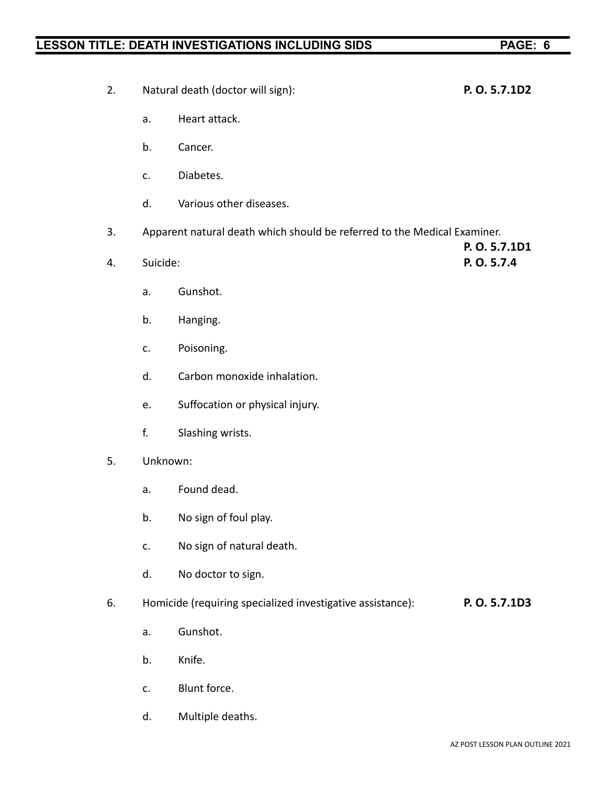| 2. |    | Natural death (doctor will sign): | P. O. 5.7.1D2                                                                             |               |
|----|----|-----------------------------------|-------------------------------------------------------------------------------------------|---------------|
|    |    | a.                                | Heart attack.                                                                             |               |
|    |    | b.                                | Cancer.                                                                                   |               |
|    |    | c.                                | Diabetes.                                                                                 |               |
|    |    | d.                                | Various other diseases.                                                                   |               |
| 3. |    |                                   | Apparent natural death which should be referred to the Medical Examiner.<br>P. O. 5.7.1D1 |               |
|    | 4. |                                   | Suicide:                                                                                  |               |
|    |    | a.                                | Gunshot.                                                                                  |               |
|    |    | b.                                | Hanging.                                                                                  |               |
|    |    | c.                                | Poisoning.                                                                                |               |
|    |    | d.                                | Carbon monoxide inhalation.                                                               |               |
|    |    | e.                                | Suffocation or physical injury.                                                           |               |
|    |    | f.                                | Slashing wrists.                                                                          |               |
| 5. |    | Unknown:                          |                                                                                           |               |
|    |    | a.                                | Found dead.                                                                               |               |
|    |    | b.                                | No sign of foul play.                                                                     |               |
|    |    | c.                                | No sign of natural death.                                                                 |               |
|    |    | d.                                | No doctor to sign.                                                                        |               |
| 6. |    |                                   | Homicide (requiring specialized investigative assistance):                                | P. O. 5.7.1D3 |
|    |    | a.                                | Gunshot.                                                                                  |               |
|    |    | b.                                | Knife.                                                                                    |               |
|    |    | c.                                | Blunt force.                                                                              |               |

d. Multiple deaths.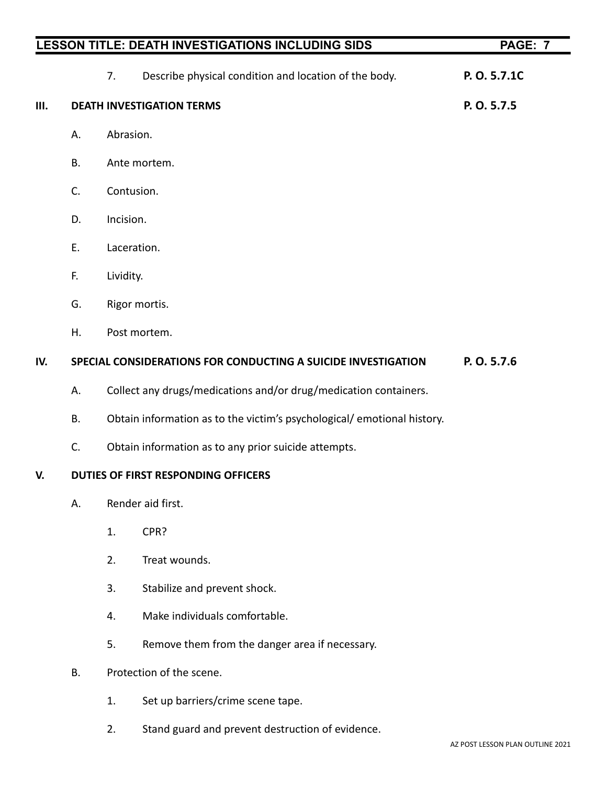|     |           | LESSON TITLE: DEATH INVESTIGATIONS INCLUDING SIDS                       | PAGE: 7     |
|-----|-----------|-------------------------------------------------------------------------|-------------|
|     |           | Describe physical condition and location of the body.<br>7.             | P.O.5.7.1C  |
| Ш.  |           | <b>DEATH INVESTIGATION TERMS</b>                                        | P. O. 5.7.5 |
|     | А.        | Abrasion.                                                               |             |
|     | <b>B.</b> | Ante mortem.                                                            |             |
|     | C.        | Contusion.                                                              |             |
|     | D.        | Incision.                                                               |             |
|     | Ε.        | Laceration.                                                             |             |
|     | F.        | Lividity.                                                               |             |
|     | G.        | Rigor mortis.                                                           |             |
|     | Η.        | Post mortem.                                                            |             |
| IV. |           | SPECIAL CONSIDERATIONS FOR CONDUCTING A SUICIDE INVESTIGATION           | P. O. 5.7.6 |
|     | А.        | Collect any drugs/medications and/or drug/medication containers.        |             |
|     | Β.        | Obtain information as to the victim's psychological/ emotional history. |             |
|     | C.        | Obtain information as to any prior suicide attempts.                    |             |
| V.  |           | DUTIES OF FIRST RESPONDING OFFICERS                                     |             |
|     | А.        | Render aid first.                                                       |             |
|     |           | CPR?<br>1.                                                              |             |
|     |           | Treat wounds.<br>2.                                                     |             |
|     |           | 3.<br>Stabilize and prevent shock.                                      |             |
|     |           | Make individuals comfortable.<br>4.                                     |             |
|     |           | Remove them from the danger area if necessary.<br>5.                    |             |

- B. Protection of the scene.
	- 1. Set up barriers/crime scene tape.
	- 2. Stand guard and prevent destruction of evidence.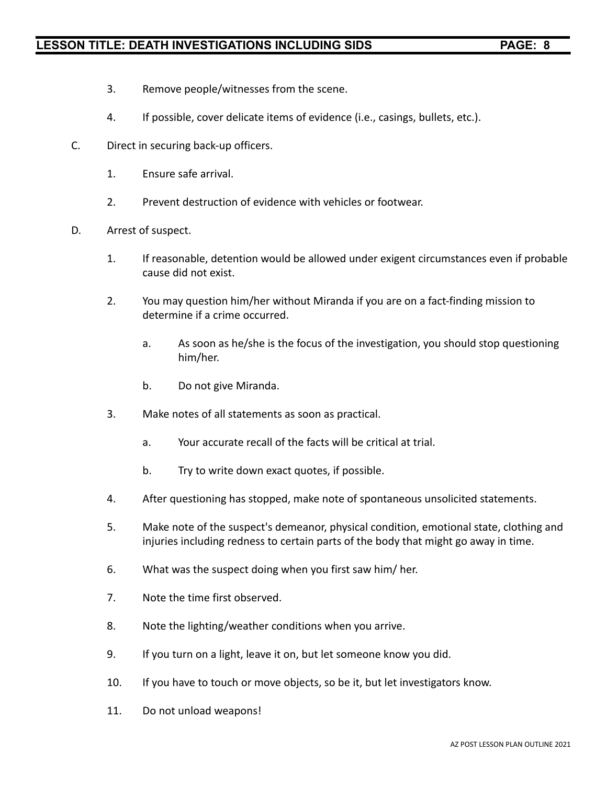- 3. Remove people/witnesses from the scene.
- 4. If possible, cover delicate items of evidence (i.e., casings, bullets, etc.).
- C. Direct in securing back-up officers.
	- 1. Ensure safe arrival.
	- 2. Prevent destruction of evidence with vehicles or footwear.
- D. Arrest of suspect.
	- 1. If reasonable, detention would be allowed under exigent circumstances even if probable cause did not exist.
	- 2. You may question him/her without Miranda if you are on a fact-finding mission to determine if a crime occurred.
		- a. As soon as he/she is the focus of the investigation, you should stop questioning him/her.
		- b. Do not give Miranda.
	- 3. Make notes of all statements as soon as practical.
		- a. Your accurate recall of the facts will be critical at trial.
		- b. Try to write down exact quotes, if possible.
	- 4. After questioning has stopped, make note of spontaneous unsolicited statements.
	- 5. Make note of the suspect's demeanor, physical condition, emotional state, clothing and injuries including redness to certain parts of the body that might go away in time.
	- 6. What was the suspect doing when you first saw him/ her.
	- 7. Note the time first observed.
	- 8. Note the lighting/weather conditions when you arrive.
	- 9. If you turn on a light, leave it on, but let someone know you did.
	- 10. If you have to touch or move objects, so be it, but let investigators know.
	- 11. Do not unload weapons!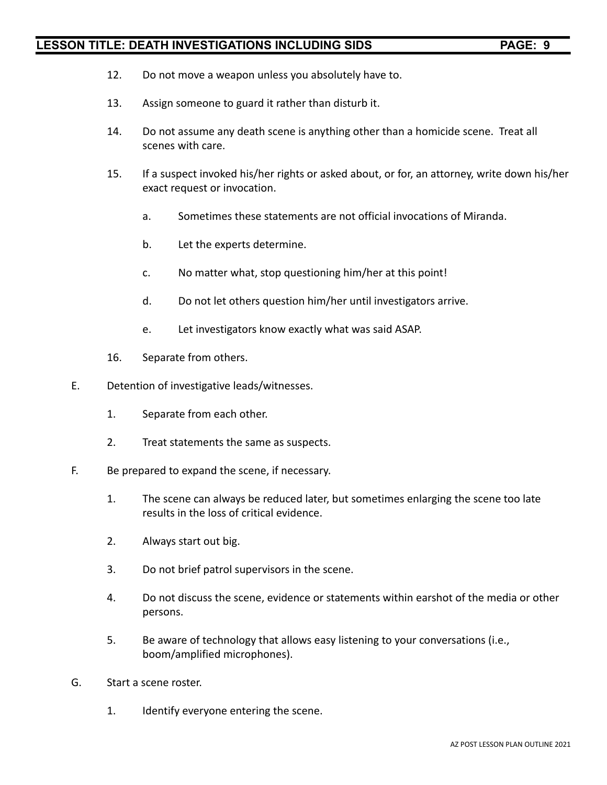- 12. Do not move a weapon unless you absolutely have to.
- 13. Assign someone to guard it rather than disturb it.
- 14. Do not assume any death scene is anything other than a homicide scene. Treat all scenes with care.
- 15. If a suspect invoked his/her rights or asked about, or for, an attorney, write down his/her exact request or invocation.
	- a. Sometimes these statements are not official invocations of Miranda.
	- b. Let the experts determine.
	- c. No matter what, stop questioning him/her at this point!
	- d. Do not let others question him/her until investigators arrive.
	- e. Let investigators know exactly what was said ASAP.
- 16. Separate from others.
- E. Detention of investigative leads/witnesses.
	- 1. Separate from each other.
	- 2. Treat statements the same as suspects.
- F. Be prepared to expand the scene, if necessary.
	- 1. The scene can always be reduced later, but sometimes enlarging the scene too late results in the loss of critical evidence.
	- 2. Always start out big.
	- 3. Do not brief patrol supervisors in the scene.
	- 4. Do not discuss the scene, evidence or statements within earshot of the media or other persons.
	- 5. Be aware of technology that allows easy listening to your conversations (i.e., boom/amplified microphones).
- G. Start a scene roster.
	- 1. Identify everyone entering the scene.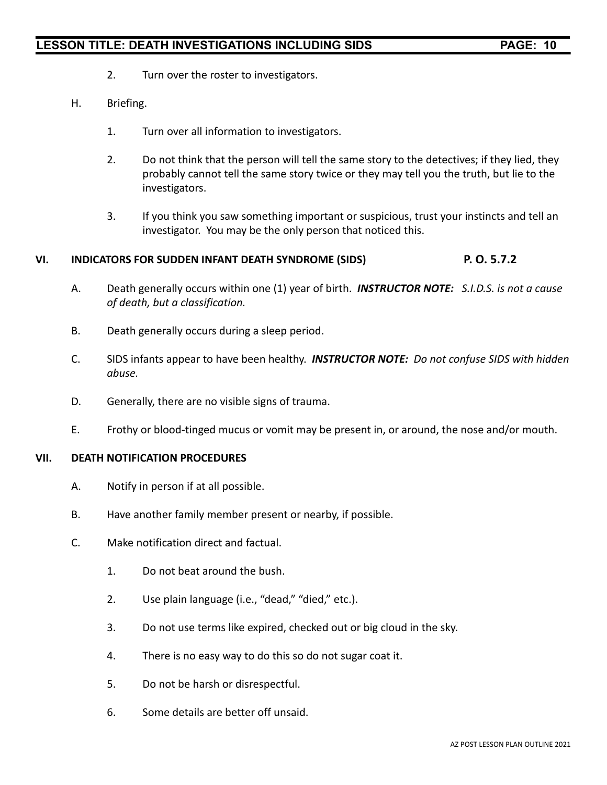- 2. Turn over the roster to investigators.
- H. Briefing.
	- 1. Turn over all information to investigators.
	- 2. Do not think that the person will tell the same story to the detectives; if they lied, they probably cannot tell the same story twice or they may tell you the truth, but lie to the investigators.
	- 3. If you think you saw something important or suspicious, trust your instincts and tell an investigator. You may be the only person that noticed this.

#### **VI. INDICATORS FOR SUDDEN INFANT DEATH SYNDROME (SIDS) P. O. 5.7.2**

- A. Death generally occurs within one (1) year of birth. *INSTRUCTOR NOTE: S.I.D.S. is not a cause of death, but a classification.*
- B. Death generally occurs during a sleep period.
- C. SIDS infants appear to have been healthy. *INSTRUCTOR NOTE: Do not confuse SIDS with hidden abuse.*
- D. Generally, there are no visible signs of trauma.
- E. Frothy or blood-tinged mucus or vomit may be present in, or around, the nose and/or mouth.

#### **VII. DEATH NOTIFICATION PROCEDURES**

- A. Notify in person if at all possible.
- B. Have another family member present or nearby, if possible.
- C. Make notification direct and factual.
	- 1. Do not beat around the bush.
	- 2. Use plain language (i.e., "dead," "died," etc.).
	- 3. Do not use terms like expired, checked out or big cloud in the sky.
	- 4. There is no easy way to do this so do not sugar coat it.
	- 5. Do not be harsh or disrespectful.
	- 6. Some details are better off unsaid.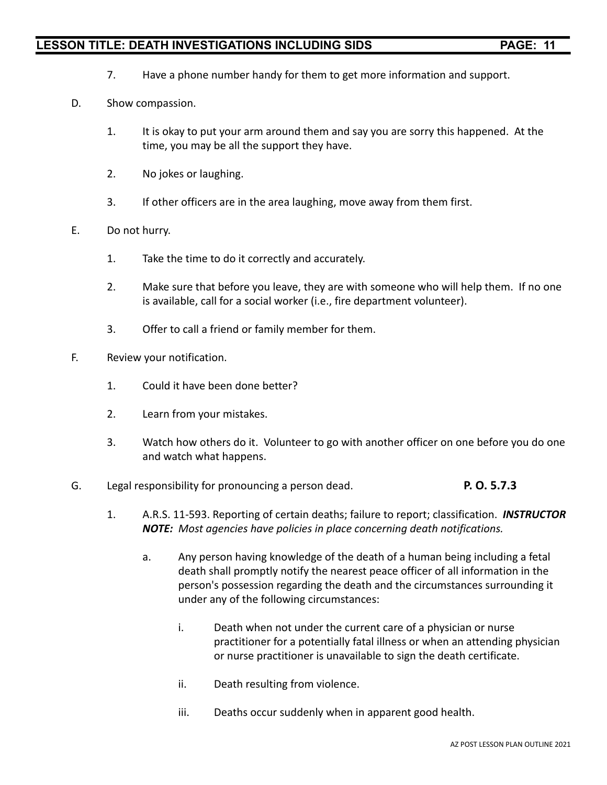- 7. Have a phone number handy for them to get more information and support.
- D. Show compassion.
	- 1. It is okay to put your arm around them and say you are sorry this happened. At the time, you may be all the support they have.
	- 2. No jokes or laughing.
	- 3. If other officers are in the area laughing, move away from them first.
- E. Do not hurry.
	- 1. Take the time to do it correctly and accurately.
	- 2. Make sure that before you leave, they are with someone who will help them. If no one is available, call for a social worker (i.e., fire department volunteer).
	- 3. Offer to call a friend or family member for them.
- F. Review your notification.
	- 1. Could it have been done better?
	- 2. Learn from your mistakes.
	- 3. Watch how others do it. Volunteer to go with another officer on one before you do one and watch what happens.
- G. Legal responsibility for pronouncing a person dead. **P. O. 5.7.3**
	- 1. A.R.S. 11-593. Reporting of certain deaths; failure to report; classification. *INSTRUCTOR NOTE: Most agencies have policies in place concerning death notifications.*
		- a. Any person having knowledge of the death of a human being including a fetal death shall promptly notify the nearest peace officer of all information in the person's possession regarding the death and the circumstances surrounding it under any of the following circumstances:
			- i. Death when not under the current care of a physician or nurse practitioner for a potentially fatal illness or when an attending physician or nurse practitioner is unavailable to sign the death certificate.
			- ii. Death resulting from violence.
			- iii. Deaths occur suddenly when in apparent good health.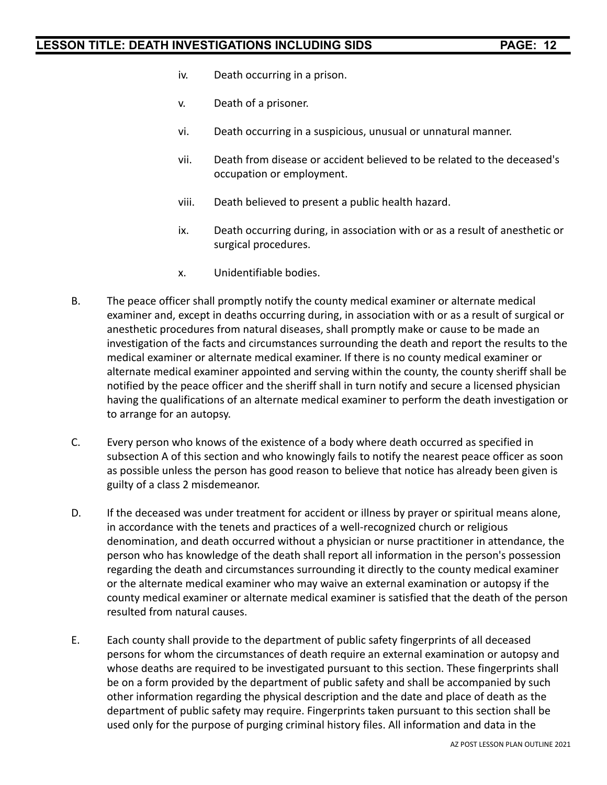- iv. Death occurring in a prison.
- v. Death of a prisoner.
- vi. Death occurring in a suspicious, unusual or unnatural manner.
- vii. Death from disease or accident believed to be related to the deceased's occupation or employment.
- viii. Death believed to present a public health hazard.
- ix. Death occurring during, in association with or as a result of anesthetic or surgical procedures.
- x. Unidentifiable bodies.
- B. The peace officer shall promptly notify the county medical examiner or alternate medical examiner and, except in deaths occurring during, in association with or as a result of surgical or anesthetic procedures from natural diseases, shall promptly make or cause to be made an investigation of the facts and circumstances surrounding the death and report the results to the medical examiner or alternate medical examiner. If there is no county medical examiner or alternate medical examiner appointed and serving within the county, the county sheriff shall be notified by the peace officer and the sheriff shall in turn notify and secure a licensed physician having the qualifications of an alternate medical examiner to perform the death investigation or to arrange for an autopsy.
- C. Every person who knows of the existence of a body where death occurred as specified in subsection A of this section and who knowingly fails to notify the nearest peace officer as soon as possible unless the person has good reason to believe that notice has already been given is guilty of a class 2 misdemeanor.
- D. If the deceased was under treatment for accident or illness by prayer or spiritual means alone, in accordance with the tenets and practices of a well-recognized church or religious denomination, and death occurred without a physician or nurse practitioner in attendance, the person who has knowledge of the death shall report all information in the person's possession regarding the death and circumstances surrounding it directly to the county medical examiner or the alternate medical examiner who may waive an external examination or autopsy if the county medical examiner or alternate medical examiner is satisfied that the death of the person resulted from natural causes.
- E. Each county shall provide to the department of public safety fingerprints of all deceased persons for whom the circumstances of death require an external examination or autopsy and whose deaths are required to be investigated pursuant to this section. These fingerprints shall be on a form provided by the department of public safety and shall be accompanied by such other information regarding the physical description and the date and place of death as the department of public safety may require. Fingerprints taken pursuant to this section shall be used only for the purpose of purging criminal history files. All information and data in the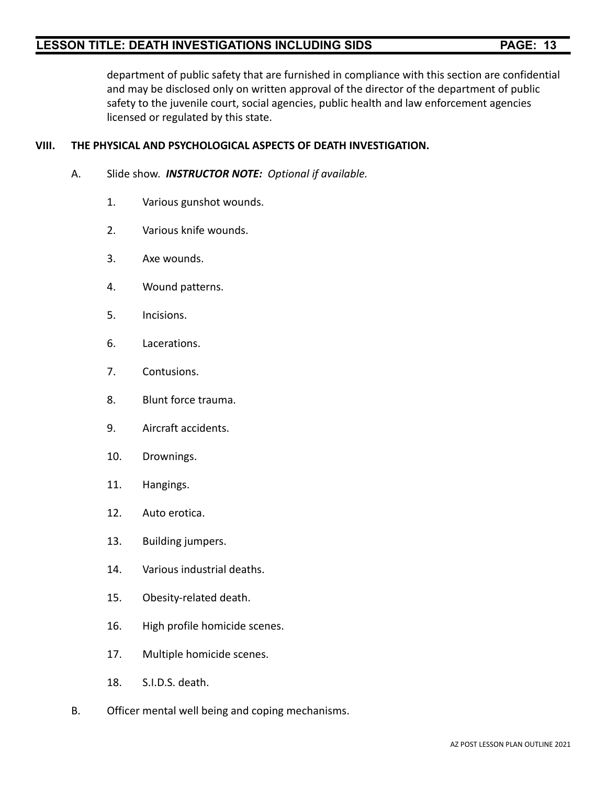department of public safety that are furnished in compliance with this section are confidential and may be disclosed only on written approval of the director of the department of public safety to the juvenile court, social agencies, public health and law enforcement agencies licensed or regulated by this state.

#### **VIII. THE PHYSICAL AND PSYCHOLOGICAL ASPECTS OF DEATH INVESTIGATION.**

- A. Slide show. *INSTRUCTOR NOTE: Optional if available.*
	- 1. Various gunshot wounds.
	- 2. Various knife wounds.
	- 3. Axe wounds.
	- 4. Wound patterns.
	- 5. Incisions.
	- 6. Lacerations.
	- 7. Contusions.
	- 8. Blunt force trauma.
	- 9. Aircraft accidents.
	- 10. Drownings.
	- 11. Hangings.
	- 12. Auto erotica.
	- 13. Building jumpers.
	- 14. Various industrial deaths.
	- 15. Obesity-related death.
	- 16. High profile homicide scenes.
	- 17. Multiple homicide scenes.
	- 18. S.I.D.S. death.
- B. Officer mental well being and coping mechanisms.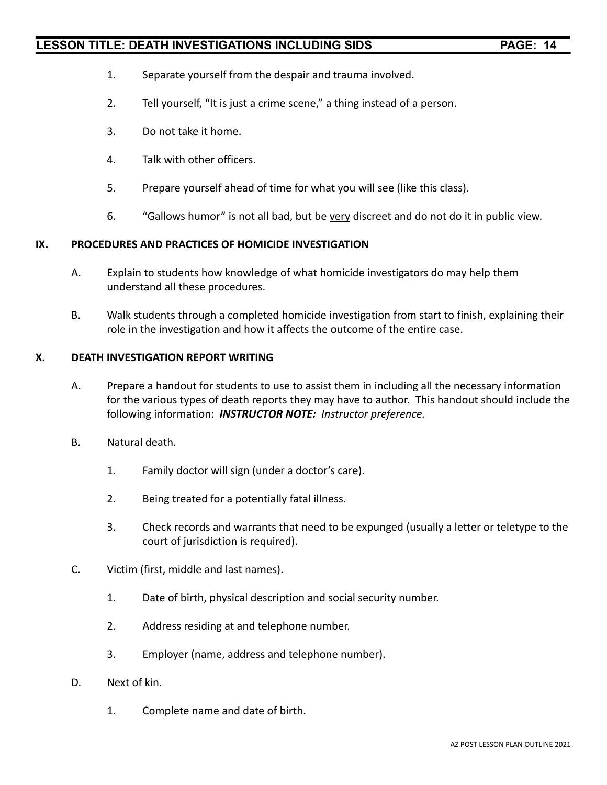- 1. Separate yourself from the despair and trauma involved.
- 2. Tell yourself, "It is just a crime scene," a thing instead of a person.
- 3. Do not take it home.
- 4. Talk with other officers.
- 5. Prepare yourself ahead of time for what you will see (like this class).
- 6. "Gallows humor" is not all bad, but be very discreet and do not do it in public view.

#### **IX. PROCEDURES AND PRACTICES OF HOMICIDE INVESTIGATION**

- A. Explain to students how knowledge of what homicide investigators do may help them understand all these procedures.
- B. Walk students through a completed homicide investigation from start to finish, explaining their role in the investigation and how it affects the outcome of the entire case.

#### **X. DEATH INVESTIGATION REPORT WRITING**

- A. Prepare a handout for students to use to assist them in including all the necessary information for the various types of death reports they may have to author. This handout should include the following information: *INSTRUCTOR NOTE: Instructor preference.*
- B. Natural death.
	- 1. Family doctor will sign (under a doctor's care).
	- 2. Being treated for a potentially fatal illness.
	- 3. Check records and warrants that need to be expunged (usually a letter or teletype to the court of jurisdiction is required).
- C. Victim (first, middle and last names).
	- 1. Date of birth, physical description and social security number.
	- 2. Address residing at and telephone number.
	- 3. Employer (name, address and telephone number).
- D. Next of kin.
	- 1. Complete name and date of birth.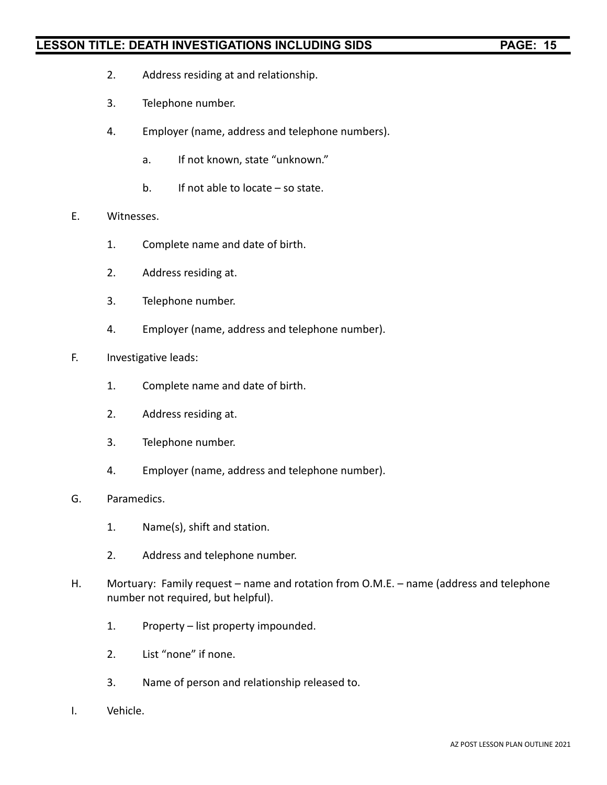- 2. Address residing at and relationship.
- 3. Telephone number.
- 4. Employer (name, address and telephone numbers).
	- a. If not known, state "unknown."
	- b. If not able to locate so state.
- E. Witnesses.
	- 1. Complete name and date of birth.
	- 2. Address residing at.
	- 3. Telephone number.
	- 4. Employer (name, address and telephone number).
- F. Investigative leads:
	- 1. Complete name and date of birth.
	- 2. Address residing at.
	- 3. Telephone number.
	- 4. Employer (name, address and telephone number).
- G. Paramedics.
	- 1. Name(s), shift and station.
	- 2. Address and telephone number.
- H. Mortuary: Family request name and rotation from O.M.E. name (address and telephone number not required, but helpful).
	- 1. Property list property impounded.
	- 2. List "none" if none.
	- 3. Name of person and relationship released to.
- I. Vehicle.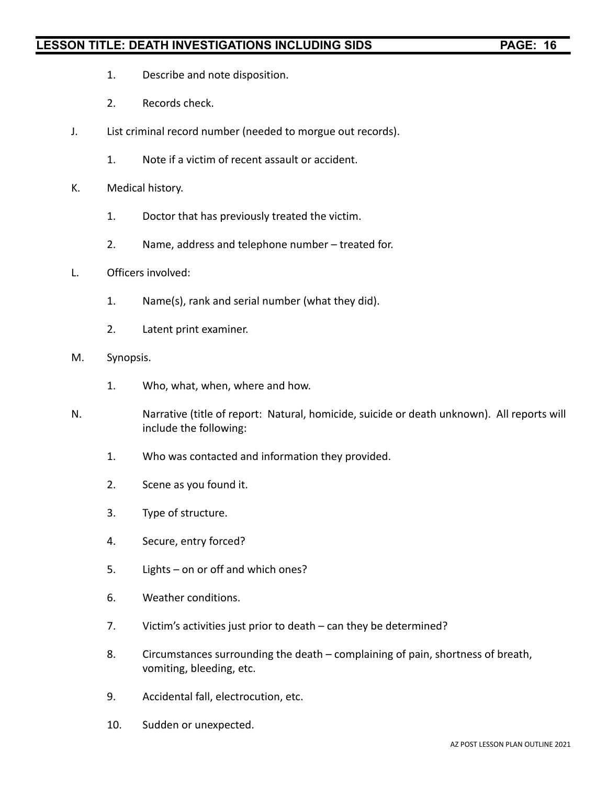- 1. Describe and note disposition.
- 2. Records check.
- J. List criminal record number (needed to morgue out records).
	- 1. Note if a victim of recent assault or accident.
- K. Medical history.
	- 1. Doctor that has previously treated the victim.
	- 2. Name, address and telephone number treated for.
- L. Officers involved:
	- 1. Name(s), rank and serial number (what they did).
	- 2. Latent print examiner.
- M. Synopsis.
	- 1. Who, what, when, where and how.
- N. Narrative (title of report: Natural, homicide, suicide or death unknown). All reports will include the following:
	- 1. Who was contacted and information they provided.
	- 2. Scene as you found it.
	- 3. Type of structure.
	- 4. Secure, entry forced?
	- 5. Lights on or off and which ones?
	- 6. Weather conditions.
	- 7. Victim's activities just prior to death can they be determined?
	- 8. Circumstances surrounding the death complaining of pain, shortness of breath, vomiting, bleeding, etc.
	- 9. Accidental fall, electrocution, etc.
	- 10. Sudden or unexpected.